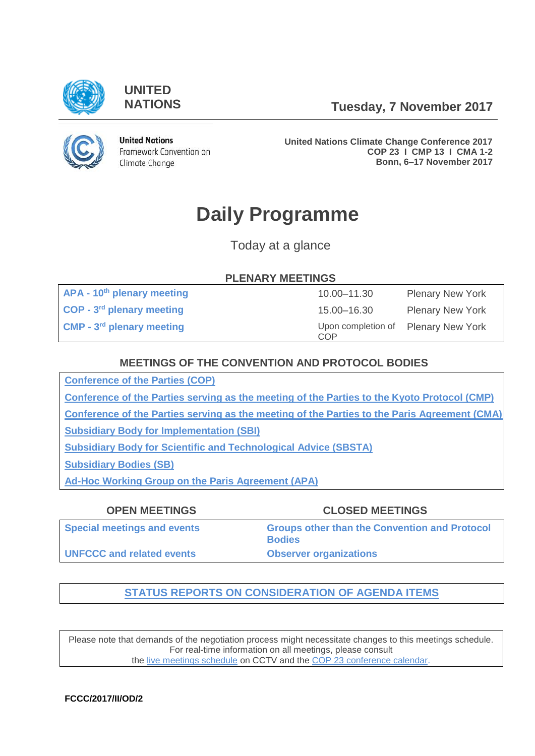

**UNITED**

**NATIONS Tuesday, 7 November 2017**



**United Nations** Framework Convention on Climate Change

**United Nations Climate Change Conference 2017 COP 23 I CMP 13 I CMA 1-2 Bonn, 6–17 November 2017**

# **Daily Programme**

Today at a glance

### **PLENARY MEETINGS**

| $\overline{ABA}$ - 10 <sup>th</sup> plenary meeting  | 10.00–11.30 | <b>Plenary New York</b>             |
|------------------------------------------------------|-------------|-------------------------------------|
| $\overline{)$ COP - 3 <sup>rd</sup> plenary meeting  | 15.00–16.30 | <b>Plenary New York</b>             |
| $\blacksquare$ CMP - 3 <sup>rd</sup> plenary meeting | COP         | Upon completion of Plenary New York |

### **MEETINGS OF THE CONVENTION AND PROTOCOL BODIES**

**[Conference of the Parties \(COP\)](https://grandreserva.unfccc.int/grandreserva/public/schedule?time=2017%2F11%2F07&conference_id=70&meeting_type=&body=4&webcast=0)**

**[Conference of the Parties serving as the meeting of the Parties to the Kyoto Protocol \(CMP\)](https://grandreserva.unfccc.int/grandreserva/public/schedule?time=2017%2F11%2F07&conference_id=70&meeting_type=&body=3&webcast=0)**

**[Conference of the Parties serving as the meeting of the Parties to the Paris Agreement \(CMA\)](https://grandreserva.unfccc.int/grandreserva/public/schedule?time=2017%2F11%2F07&conference_id=70&meeting_type=&body=10&webcast=0)**

**[Subsidiary Body for Implementation \(SBI\)](https://grandreserva.unfccc.int/grandreserva/public/schedule?time=2017%2F11%2F07&conference_id=70&meeting_type=&body=5&webcast=0)**

**[Subsidiary Body for Scientific and Technological Advice \(SBSTA\)](https://grandreserva.unfccc.int/grandreserva/public/schedule?time=2017%2F11%2F07&conference_id=70&meeting_type=&body=6&webcast=0)**

**[Subsidiary Bodies \(SB\)](https://grandreserva.unfccc.int/grandreserva/public/schedule?time=2017%2F11%2F07&conference_id=70&meeting_type=&body=7&webcast=0)**

**[Ad-Hoc Working Group on the Paris Agreement \(APA\)](https://grandreserva.unfccc.int/grandreserva/public/schedule?time=2017%2F11%2F07&conference_id=70&meeting_type=&body=9&webcast=0)**

| <b>OPEN MEETINGS</b>               | <b>CLOSED MEETINGS</b>                                                |
|------------------------------------|-----------------------------------------------------------------------|
| <b>Special meetings and events</b> | <b>Groups other than the Convention and Protocol</b><br><b>Bodies</b> |
| <b>UNFCCC and related events</b>   | <b>Observer organizations</b>                                         |

# **[STATUS REPORTS ON CONSIDERATION OF AGENDA ITEMS](http://unfccc.int/meetings/bonn_nov_2017/in-session/items/10482.php)**

Please note that demands of the negotiation process might necessitate changes to this meetings schedule. For real-time information on all meetings, please consult the [live meetings schedule](https://grandreserva.unfccc.int/grandreserva/public/schedule?time=2017%2F11%2F07&conference_id=70&meeting_type=&body=&webcast=0) on CCTV and the [COP 23 conference calendar.](https://cop23.unfccc.int/calendar)

**FCCC/2017/II/OD/2**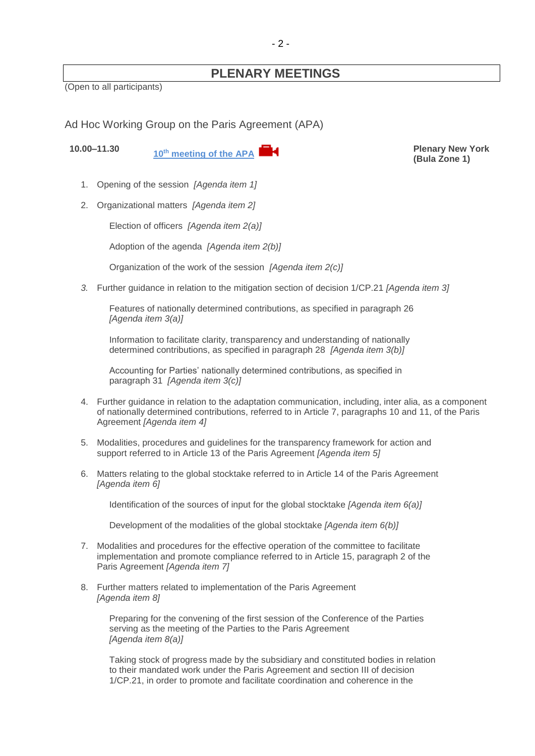### **PLENARY MEETINGS**

(Open to all participants)

<span id="page-1-0"></span>Ad Hoc Working Group on the Paris Agreement (APA)

**10.00–11.30**

- 1. Opening of the session *[Agenda item 1]*
- 2. Organizational matters *[Agenda item 2]*

Election of officers *[Agenda item 2(a)]*

Adoption of the agenda *[Agenda item 2(b)]*

Organization of the work of the session *[Agenda item 2(c)]*

*3.* Further guidance in relation to the mitigation section of decision 1/CP.21 *[Agenda item 3]*

Features of nationally determined contributions, as specified in paragraph 26 *[Agenda item 3(a)]*

Information to facilitate clarity, transparency and understanding of nationally determined contributions, as specified in paragraph 28 *[Agenda item 3(b)]*

Accounting for Parties' nationally determined contributions, as specified in paragraph 31 *[Agenda item 3(c)]*

- 4. Further guidance in relation to the adaptation communication, including, inter alia, as a component of nationally determined contributions, referred to in Article 7, paragraphs 10 and 11, of the Paris Agreement *[Agenda item 4]*
- 5. Modalities, procedures and guidelines for the transparency framework for action and support referred to in Article 13 of the Paris Agreement *[Agenda item 5]*
- 6. Matters relating to the global stocktake referred to in Article 14 of the Paris Agreement *[Agenda item 6]*

Identification of the sources of input for the global stocktake *[Agenda item 6(a)]*

Development of the modalities of the global stocktake *[Agenda item 6(b)]*

- 7. Modalities and procedures for the effective operation of the committee to facilitate implementation and promote compliance referred to in Article 15, paragraph 2 of the Paris Agreement *[Agenda item 7]*
- 8. Further matters related to implementation of the Paris Agreement *[Agenda item 8]*

Preparing for the convening of the first session of the Conference of the Parties serving as the meeting of the Parties to the Paris Agreement *[Agenda item 8(a)]*

Taking stock of progress made by the subsidiary and constituted bodies in relation to their mandated work under the Paris Agreement and section III of decision 1/CP.21, in order to promote and facilitate coordination and coherence in the

**<sup>10</sup>th [meeting of the APA](https://unfccc.cloud.streamworld.de/live) Plenary New York (Bula Zone 1)**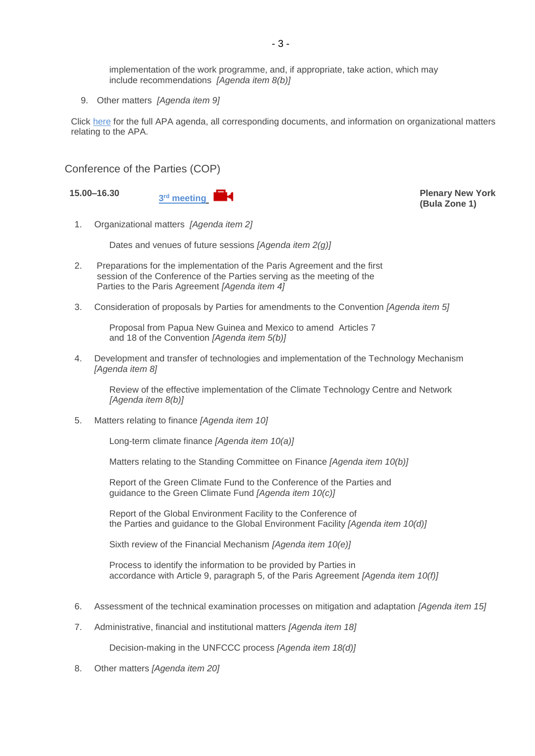implementation of the work programme, and, if appropriate, take action, which may include recommendations *[Agenda item 8(b)]*

9. Other matters *[Agenda item 9]*

Click [here](http://unfccc.int/meetings/bonn_nov_2017/session/10381/php/view/agenda.php#c) for the full APA agenda, all corresponding documents, and information on organizational matters relating to the APA.

<span id="page-2-0"></span>Conference of the Parties (COP)

**15.00–16.30**

**3 rd [meeting](https://unfccc.cloud.streamworld.de/live) Plenary New York (Bula Zone 1)**

1. Organizational matters *[Agenda item 2]*

Dates and venues of future sessions *[Agenda item 2(g)]*

- 2. Preparations for the implementation of the Paris Agreement and the first session of the Conference of the Parties serving as the meeting of the Parties to the Paris Agreement *[Agenda item 4]*
- 3. Consideration of proposals by Parties for amendments to the Convention *[Agenda item 5]*

Proposal from Papua New Guinea and Mexico to amend Articles 7 and 18 of the Convention *[Agenda item 5(b)]*

4. Development and transfer of technologies and implementation of the Technology Mechanism *[Agenda item 8]*

Review of the effective implementation of the Climate Technology Centre and Network *[Agenda item 8(b)]*

5. Matters relating to finance *[Agenda item 10]*

Long-term climate finance *[Agenda item 10(a)]*

Matters relating to the Standing Committee on Finance *[Agenda item 10(b)]*

Report of the Green Climate Fund to the Conference of the Parties and guidance to the Green Climate Fund *[Agenda item 10(c)]*

Report of the Global Environment Facility to the Conference of the Parties and guidance to the Global Environment Facility *[Agenda item 10(d)]*

Sixth review of the Financial Mechanism *[Agenda item 10(e)]*

Process to identify the information to be provided by Parties in accordance with Article 9, paragraph 5, of the Paris Agreement *[Agenda item 10(f)]*

- 6. Assessment of the technical examination processes on mitigation and adaptation *[Agenda item 15]*
- 7. Administrative, financial and institutional matters *[Agenda item 18]*

Decision-making in the UNFCCC process *[Agenda item 18(d)]*

8. Other matters *[Agenda item 20]*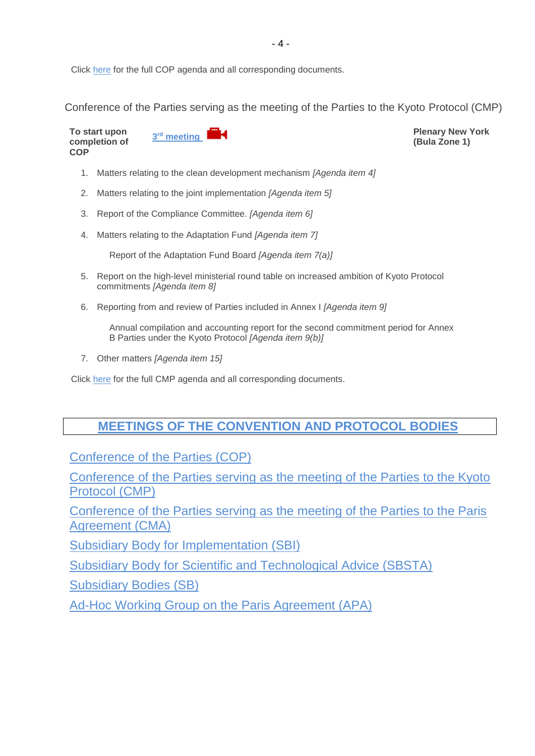Click [here](http://unfccc.int/meetings/bonn_nov_2017/session/10376/php/view/documents.php#c) for the full COP agenda and all corresponding documents.

<span id="page-3-0"></span>Conference of the Parties serving as the meeting of the Parties to the Kyoto Protocol (CMP)

**To start upon completion of COP**

**Plenary New York (Bula Zone 1)**

1. Matters relating to the clean development mechanism *[Agenda item 4]*

2. Matters relating to the joint implementation *[Agenda item 5]*

3. Report of the Compliance Committee. *[Agenda item 6]*

3<sup>rd</sup> meeting |

4. Matters relating to the Adaptation Fund *[Agenda item 7]*

Report of the Adaptation Fund Board *[Agenda item 7(a)]*

- 5. Report on the high-level ministerial round table on increased ambition of Kyoto Protocol commitments *[Agenda item 8]*
- 6. Reporting from and review of Parties included in Annex I *[Agenda item 9]*

Annual compilation and accounting report for the second commitment period for Annex B Parties under the Kyoto Protocol *[Agenda item 9(b)]*

7. Other matters *[Agenda item 15]*

Click [here](http://unfccc.int/meetings/bonn_nov_2017/session/10377/php/view/documents.php#c) for the full CMP agenda and all corresponding documents.

## **[MEETINGS OF THE CONVENTION AND PROTOCOL BODIES](https://grandreserva.unfccc.int/grandreserva/public/schedule?time=2017%2F11%2F07&conference_id=70&meeting_type=&body=3%2C4%2C5%2C6%2C7%2C8%2C9%2C10&webcast=0)**

[Conference of the Parties \(COP\)](https://grandreserva.unfccc.int/grandreserva/public/schedule?time=2017%2F11%2F07&conference_id=70&meeting_type=&body=4&webcast=0)

[Conference of the Parties serving as the meeting of the Parties to the Kyoto](https://grandreserva.unfccc.int/grandreserva/public/schedule?time=2017%2F11%2F07&conference_id=70&meeting_type=&body=3&webcast=0)  [Protocol \(CMP\)](https://grandreserva.unfccc.int/grandreserva/public/schedule?time=2017%2F11%2F07&conference_id=70&meeting_type=&body=3&webcast=0)

[Conference of the Parties serving as the meeting of the Parties to the Paris](https://grandreserva.unfccc.int/grandreserva/public/schedule?time=2017%2F11%2F07&conference_id=70&meeting_type=&body=10&webcast=0)  [Agreement \(CMA\)](https://grandreserva.unfccc.int/grandreserva/public/schedule?time=2017%2F11%2F07&conference_id=70&meeting_type=&body=10&webcast=0)

[Subsidiary Body for Implementation \(SBI\)](https://grandreserva.unfccc.int/grandreserva/public/schedule?time=2017%2F11%2F07&conference_id=70&meeting_type=&body=5&webcast=0)

[Subsidiary Body for Scientific and Technological Advice \(SBSTA\)](https://grandreserva.unfccc.int/grandreserva/public/schedule?time=2017%2F11%2F07&conference_id=70&meeting_type=&body=6&webcast=0)

[Subsidiary Bodies \(SB\)](https://grandreserva.unfccc.int/grandreserva/public/schedule?time=2017%2F11%2F07&conference_id=70&meeting_type=&body=7&webcast=0)

[Ad-Hoc Working Group on the Paris Agreement \(APA\)](https://grandreserva.unfccc.int/grandreserva/public/schedule?time=2017%2F11%2F07&conference_id=70&meeting_type=&body=9&webcast=0)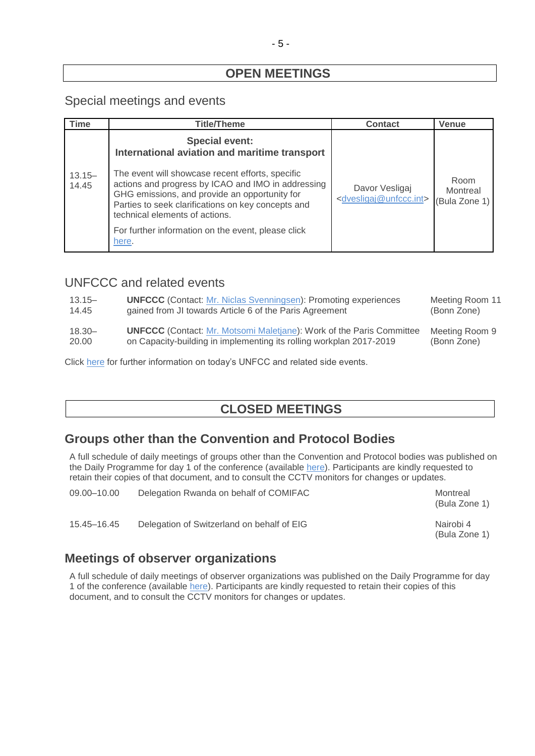### **OPEN MEETINGS**

### <span id="page-4-0"></span>Special meetings and events

| <b>Time</b>        | <b>Title/Theme</b>                                                                                                                                                                                                                              | <b>Contact</b>                                                  | Venue                             |
|--------------------|-------------------------------------------------------------------------------------------------------------------------------------------------------------------------------------------------------------------------------------------------|-----------------------------------------------------------------|-----------------------------------|
|                    | <b>Special event:</b><br>International aviation and maritime transport                                                                                                                                                                          |                                                                 |                                   |
| $13.15 -$<br>14.45 | The event will showcase recent efforts, specific<br>actions and progress by ICAO and IMO in addressing<br>GHG emissions, and provide an opportunity for<br>Parties to seek clarifications on key concepts and<br>technical elements of actions. | Davor Vesligaj<br><dvesligaj@unfccc.int></dvesligaj@unfccc.int> | Room<br>Montreal<br>(Bula Zone 1) |
|                    | For further information on the event, please click<br>here.                                                                                                                                                                                     |                                                                 |                                   |

### <span id="page-4-2"></span>UNFCCC and related events

| $13.15 -$ | <b>UNFCCC</b> (Contact: Mr. Niclas Svenningsen): Promoting experiences      | Meeting Room 11 |
|-----------|-----------------------------------------------------------------------------|-----------------|
| 14.45     | gained from JI towards Article 6 of the Paris Agreement                     | (Bonn Zone)     |
| $18.30 -$ | <b>UNFCCC</b> (Contact: Mr. Motsomi Maletjane): Work of the Paris Committee | Meeting Room 9  |
| 20.00     | on Capacity-building in implementing its rolling workplan 2017-2019         | (Bonn Zone)     |

Click [here](https://seors.unfccc.int/seors/reports/events_list.html?session_id=COP23) for further information on today's UNFCC and related side events.

# **CLOSED MEETINGS**

# <span id="page-4-1"></span>**Groups other than the Convention and Protocol Bodies**

A full schedule of daily meetings of groups other than the Convention and Protocol bodies was published on the Daily Programme for day 1 of the conference (available [here\)](http://unfccc.int/resource/docs/2017/cop23/OD/od01.pdf). Participants are kindly requested to retain their copies of that document, and to consult the CCTV monitors for changes or updates.

| 09.00–10.00 | Delegation Rwanda on behalf of COMIFAC     | Montreal<br>(Bula Zone 1)  |
|-------------|--------------------------------------------|----------------------------|
| 15.45–16.45 | Delegation of Switzerland on behalf of EIG | Nairobi 4<br>(Bula Zone 1) |

# **Meetings of observer organizations**

<span id="page-4-3"></span>A full schedule of daily meetings of observer organizations was published on the Daily Programme for day 1 of the conference (available [here\)](http://unfccc.int/resource/docs/2017/cop23/OD/od01.pdf). Participants are kindly requested to retain their copies of this document, and to consult the CCTV monitors for changes or updates.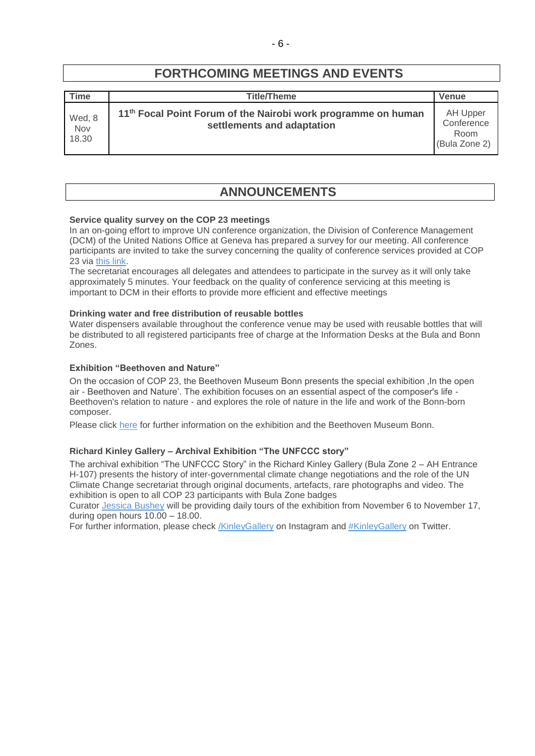# **FORTHCOMING MEETINGS AND EVENTS**

| <b>Time</b>            | <b>Title/Theme</b>                                                                                      | <b>Venue</b>                                    |
|------------------------|---------------------------------------------------------------------------------------------------------|-------------------------------------------------|
| Wed, 8<br>Nov<br>18.30 | 11 <sup>th</sup> Focal Point Forum of the Nairobi work programme on human<br>settlements and adaptation | AH Upper<br>Conference<br>Room<br>(Bula Zone 2) |

# **ANNOUNCEMENTS**

### **Service quality survey on the COP 23 meetings**

In an on-going effort to improve UN conference organization, the Division of Conference Management (DCM) of the United Nations Office at Geneva has prepared a survey for our meeting. All conference participants are invited to take the survey concerning the quality of conference services provided at COP 23 via [this link.](http://conf.unog.ch/dcmsurvey)

The secretariat encourages all delegates and attendees to participate in the survey as it will only take approximately 5 minutes. Your feedback on the quality of conference servicing at this meeting is important to DCM in their efforts to provide more efficient and effective meetings

#### **Drinking water and free distribution of reusable bottles**

Water dispensers available throughout the conference venue may be used with reusable bottles that will be distributed to all registered participants free of charge at the Information Desks at the Bula and Bonn Zones.

### **Exhibition "Beethoven and Nature"**

On the occasion of COP 23, the Beethoven Museum Bonn presents the special exhibition , In the open air - Beethoven and Nature'. The exhibition focuses on an essential aspect of the composer's life - Beethoven's relation to nature - and explores the role of nature in the life and work of the Bonn-born composer.

Please click [here](https://www.beethoven-haus-bonn.de/page/Visit#temporary_exhibitions) for further information on the exhibition and the Beethoven Museum Bonn.

#### **Richard Kinley Gallery – Archival Exhibition "The UNFCCC story"**

The archival exhibition "The UNFCCC Story" in the Richard Kinley Gallery (Bula Zone 2 – AH Entrance H-107) presents the history of inter-governmental climate change negotiations and the role of the UN Climate Change secretariat through original documents, artefacts, rare photographs and video. The exhibition is open to all COP 23 participants with Bula Zone badges

Curator [Jessica Bushey](mailto:jbushey@unfccc.int) will be providing daily tours of the exhibition from November 6 to November 17, during open hours 10.00 – 18.00.

For further information, please check [/KinleyGallery](https://www.instagram.com/KinleyGallery/) on Instagram and [#KinleyGallery](https://twitter.com/hashtag/KinleyGallery?src=hash) on Twitter.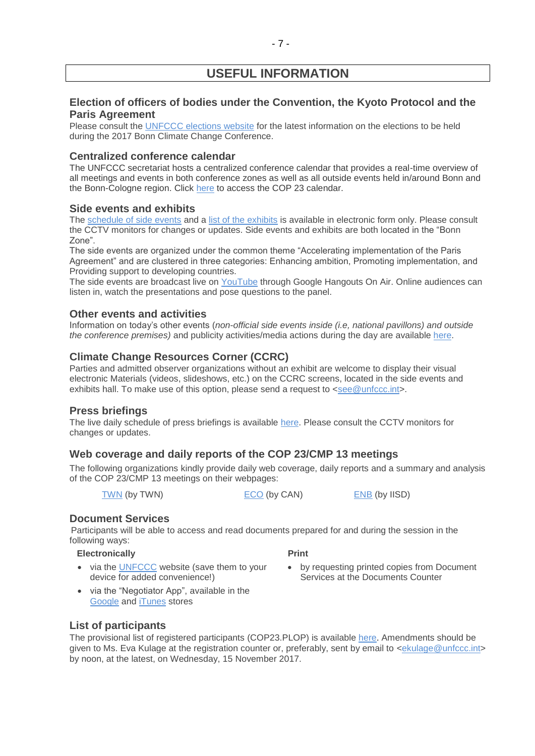# **USEFUL INFORMATION**

### **Election of officers of bodies under the Convention, the Kyoto Protocol and the Paris Agreement**

Please consult the [UNFCCC elections website](http://unfccc.int/6558.php) for the latest information on the elections to be held during the 2017 Bonn Climate Change Conference.

#### **Centralized conference calendar**

The UNFCCC secretariat hosts a centralized conference calendar that provides a real-time overview of all meetings and events in both conference zones as well as all outside events held in/around Bonn and the Bonn-Cologne region. Click [here](https://cop23.unfccc.int/calendar) to access the COP 23 calendar.

#### **Side events and exhibits**

The [schedule of side events](https://seors.unfccc.int/seors/reports/events_list.html?session_id=COP23) and a [list of the exhibits](https://seors.unfccc.int/seors/reports/exhibits_list.html?session_id=COP23) is available in electronic form only. Please consult the CCTV monitors for changes or updates. Side events and exhibits are both located in the "Bonn Zone".

The side events are organized under the common theme "Accelerating implementation of the Paris Agreement" and are clustered in three categories: Enhancing ambition, Promoting implementation, and Providing support to developing countries.

The side events are broadcast live on [YouTube](https://www.youtube.com/channel/UCSbUPgmmKUTzRmspKM9DpuQ?view_as=subscriber) through Google Hangouts On Air. Online audiences can listen in, watch the presentations and pose questions to the panel.

#### **Other events and activities**

Information on today's other events (*non-official side events inside (i.e, national pavillons) and outside the conference premises)* and publicity activities/media actions during the day are available [here.](https://seors.unfccc.int/seors/reports/events_list.html?session_id=CEvents)

### **Climate Change Resources Corner (CCRC)**

Parties and admitted observer organizations without an exhibit are welcome to display their visual electronic Materials (videos, slideshows, etc.) on the CCRC screens, located in the side events and exhibits hall. To make use of this option, please send a request to [<see@unfccc.int>](mailto:see@unfccc.int).

#### **Press briefings**

The live daily schedule of press briefings is available [here.](https://grandreserva.unfccc.int/grandreserva/public/schedule?time=2017%2F11%2F07&conference_id=70&meeting_type=145&body=&webcast=0) Please consult the CCTV monitors for changes or updates.

### **Web coverage and daily reports of the COP 23/CMP 13 meetings**

The following organizations kindly provide daily web coverage, daily reports and a summary and analysis of the COP 23/CMP 13 meetings on their webpages:

[TWN](http://www.twn.my/) (by TWN) [ECO](http://www.climatenetwork.org/event/cop-23) (by CAN) [ENB](http://enb.iisd.org/climate/cop23/) (by IISD)

### **Document Services**

Participants will be able to access and read documents prepared for and during the session in the following ways:

#### **Electronically**

- **Print**
- via the [UNFCCC](http://unfccc.int/meetings/bonn_nov_2017/meeting/10084/php/view/documents.php#c) website (save them to your device for added convenience!)
- by requesting printed copies from Document Services at the Documents Counter
- via the "Negotiator App", available in the [Google](https://play.google.com/store/apps/details?id=unfccc.negotiator) and [iTunes](https://itunes.apple.com/app/negotiator/id568085923?ls=1&mt=8) stores

### **List of participants**

The provisional list of registered participants (COP23.PLOP) is available [here](http://unfccc.int/resource/docs/2017/cop23/eng/PLOP.pdf). Amendments should be given to Ms. Eva Kulage at the registration counter or, preferably, sent by email to [<ekulage@unfccc.int>](mailto:ekulage@unfccc.int) by noon, at the latest, on Wednesday, 15 November 2017.